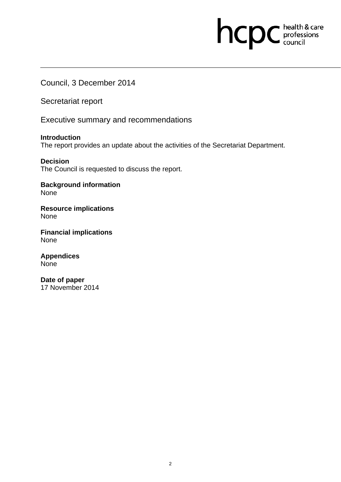# hcpc health & care

Council, 3 December 2014

Secretariat report

Executive summary and recommendations

**Introduction**  The report provides an update about the activities of the Secretariat Department.

**Decision**  The Council is requested to discuss the report.

**Background information**  None

**Resource implications**  None

**Financial implications**  None

**Appendices None** 

**Date of paper**  17 November 2014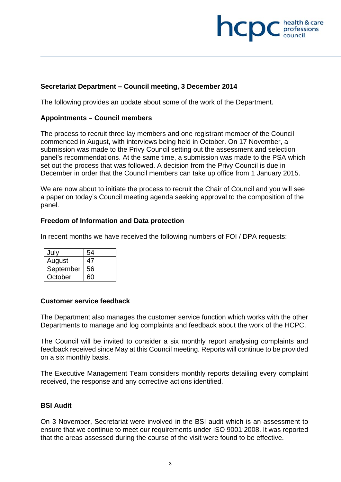# **health & care**

## **Secretariat Department – Council meeting, 3 December 2014**

The following provides an update about some of the work of the Department.

#### **Appointments – Council members**

The process to recruit three lay members and one registrant member of the Council commenced in August, with interviews being held in October. On 17 November, a submission was made to the Privy Council setting out the assessment and selection panel's recommendations. At the same time, a submission was made to the PSA which set out the process that was followed. A decision from the Privy Council is due in December in order that the Council members can take up office from 1 January 2015.

We are now about to initiate the process to recruit the Chair of Council and you will see a paper on today's Council meeting agenda seeking approval to the composition of the panel.

#### **Freedom of Information and Data protection**

In recent months we have received the following numbers of FOI / DPA requests:

| July      | 54 |
|-----------|----|
| August    | 47 |
| September | 56 |
| October   | 60 |

#### **Customer service feedback**

The Department also manages the customer service function which works with the other Departments to manage and log complaints and feedback about the work of the HCPC.

The Council will be invited to consider a six monthly report analysing complaints and feedback received since May at this Council meeting. Reports will continue to be provided on a six monthly basis.

The Executive Management Team considers monthly reports detailing every complaint received, the response and any corrective actions identified.

### **BSI Audit**

On 3 November, Secretariat were involved in the BSI audit which is an assessment to ensure that we continue to meet our requirements under ISO 9001:2008. It was reported that the areas assessed during the course of the visit were found to be effective.